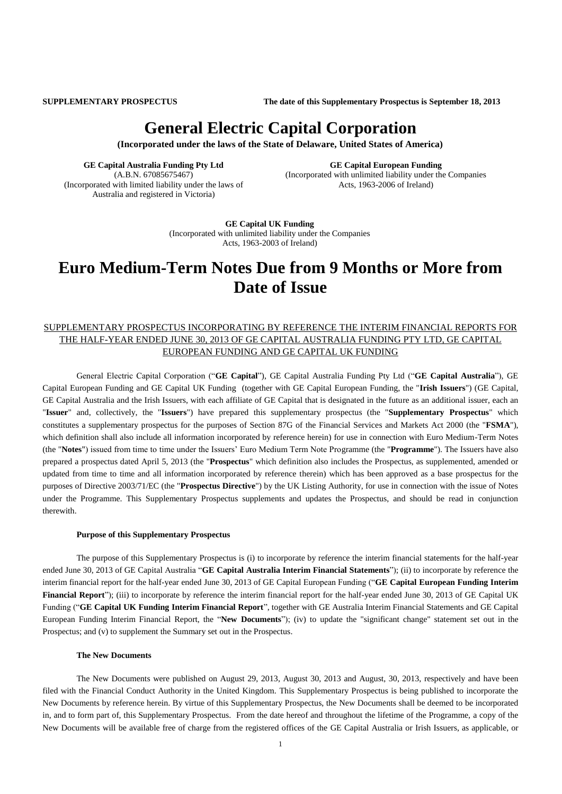**SUPPLEMENTARY PROSPECTUS The date of this Supplementary Prospectus is September 18, 2013**

# **General Electric Capital Corporation**

**(Incorporated under the laws of the State of Delaware, United States of America)**

**GE Capital Australia Funding Pty Ltd** (A.B.N. 67085675467) (Incorporated with limited liability under the laws of Australia and registered in Victoria)

**GE Capital European Funding** (Incorporated with unlimited liability under the Companies Acts, 1963-2006 of Ireland)

**GE Capital UK Funding** (Incorporated with unlimited liability under the Companies Acts, 1963-2003 of Ireland)

# **Euro Medium-Term Notes Due from 9 Months or More from Date of Issue**

# SUPPLEMENTARY PROSPECTUS INCORPORATING BY REFERENCE THE INTERIM FINANCIAL REPORTS FOR THE HALF-YEAR ENDED JUNE 30, 2013 OF GE CAPITAL AUSTRALIA FUNDING PTY LTD, GE CAPITAL EUROPEAN FUNDING AND GE CAPITAL UK FUNDING

General Electric Capital Corporation ("**GE Capital**"), GE Capital Australia Funding Pty Ltd ("**GE Capital Australia**"), GE Capital European Funding and GE Capital UK Funding (together with GE Capital European Funding, the "**Irish Issuers**") (GE Capital, GE Capital Australia and the Irish Issuers, with each affiliate of GE Capital that is designated in the future as an additional issuer, each an "**Issuer**" and, collectively, the "**Issuers**") have prepared this supplementary prospectus (the "**Supplementary Prospectus**" which constitutes a supplementary prospectus for the purposes of Section 87G of the Financial Services and Markets Act 2000 (the "**FSMA**"), which definition shall also include all information incorporated by reference herein) for use in connection with Euro Medium-Term Notes (the "**Notes**") issued from time to time under the Issuers' Euro Medium Term Note Programme (the "**Programme**"). The Issuers have also prepared a prospectus dated April 5, 2013 (the "**Prospectus**" which definition also includes the Prospectus, as supplemented, amended or updated from time to time and all information incorporated by reference therein) which has been approved as a base prospectus for the purposes of Directive 2003/71/EC (the "**Prospectus Directive**") by the UK Listing Authority, for use in connection with the issue of Notes under the Programme. This Supplementary Prospectus supplements and updates the Prospectus, and should be read in conjunction therewith.

#### **Purpose of this Supplementary Prospectus**

The purpose of this Supplementary Prospectus is (i) to incorporate by reference the interim financial statements for the half-year ended June 30, 2013 of GE Capital Australia "**GE Capital Australia Interim Financial Statements**"); (ii) to incorporate by reference the interim financial report for the half-year ended June 30, 2013 of GE Capital European Funding ("**GE Capital European Funding Interim Financial Report**"); (iii) to incorporate by reference the interim financial report for the half-year ended June 30, 2013 of GE Capital UK Funding ("**GE Capital UK Funding Interim Financial Report**", together with GE Australia Interim Financial Statements and GE Capital European Funding Interim Financial Report, the "**New Documents**"); (iv) to update the "significant change" statement set out in the Prospectus; and (v) to supplement the Summary set out in the Prospectus.

#### **The New Documents**

The New Documents were published on August 29, 2013, August 30, 2013 and August, 30, 2013, respectively and have been filed with the Financial Conduct Authority in the United Kingdom. This Supplementary Prospectus is being published to incorporate the New Documents by reference herein. By virtue of this Supplementary Prospectus, the New Documents shall be deemed to be incorporated in, and to form part of, this Supplementary Prospectus. From the date hereof and throughout the lifetime of the Programme, a copy of the New Documents will be available free of charge from the registered offices of the GE Capital Australia or Irish Issuers, as applicable, or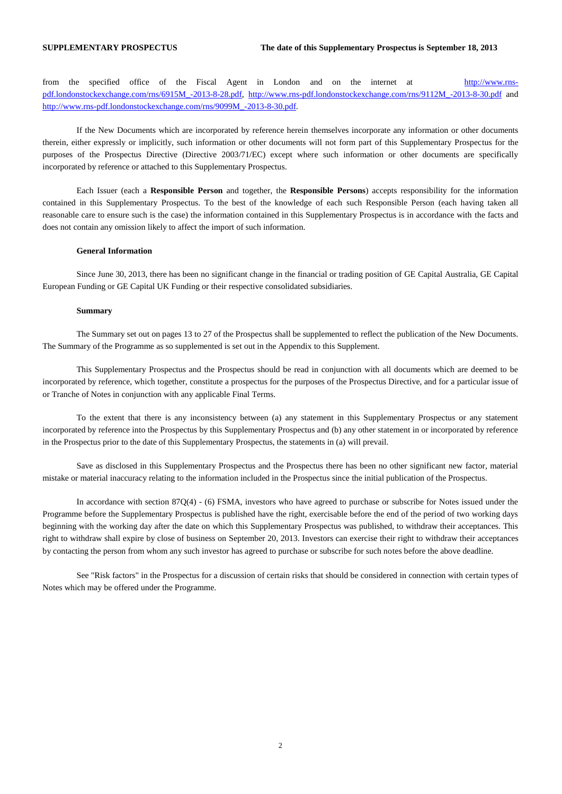from the specified office of the Fiscal Agent in London and on the internet at [http://www.rns](http://www.rns-pdf.londonstockexchange.com/rns/6915M_-2013-8-28.pdf)[pdf.londonstockexchange.com/rns/6915M\\_-2013-8-28.pdf,](http://www.rns-pdf.londonstockexchange.com/rns/6915M_-2013-8-28.pdf) [http://www.rns-pdf.londonstockexchange.com/rns/9112M\\_-2013-8-30.pdf](http://www.rns-pdf.londonstockexchange.com/rns/9112M_-2013-8-30.pdf) and [http://www.rns-pdf.londonstockexchange.com/rns/9099M\\_-2013-8-30.pdf.](http://www.rns-pdf.londonstockexchange.com/rns/9099M_-2013-8-30.pdf)

If the New Documents which are incorporated by reference herein themselves incorporate any information or other documents therein, either expressly or implicitly, such information or other documents will not form part of this Supplementary Prospectus for the purposes of the Prospectus Directive (Directive 2003/71/EC) except where such information or other documents are specifically incorporated by reference or attached to this Supplementary Prospectus.

Each Issuer (each a **Responsible Person** and together, the **Responsible Persons**) accepts responsibility for the information contained in this Supplementary Prospectus. To the best of the knowledge of each such Responsible Person (each having taken all reasonable care to ensure such is the case) the information contained in this Supplementary Prospectus is in accordance with the facts and does not contain any omission likely to affect the import of such information.

#### **General Information**

Since June 30, 2013, there has been no significant change in the financial or trading position of GE Capital Australia, GE Capital European Funding or GE Capital UK Funding or their respective consolidated subsidiaries.

#### **Summary**

The Summary set out on pages 13 to 27 of the Prospectus shall be supplemented to reflect the publication of the New Documents. The Summary of the Programme as so supplemented is set out in the Appendix to this Supplement.

This Supplementary Prospectus and the Prospectus should be read in conjunction with all documents which are deemed to be incorporated by reference, which together, constitute a prospectus for the purposes of the Prospectus Directive, and for a particular issue of or Tranche of Notes in conjunction with any applicable Final Terms.

To the extent that there is any inconsistency between (a) any statement in this Supplementary Prospectus or any statement incorporated by reference into the Prospectus by this Supplementary Prospectus and (b) any other statement in or incorporated by reference in the Prospectus prior to the date of this Supplementary Prospectus, the statements in (a) will prevail.

Save as disclosed in this Supplementary Prospectus and the Prospectus there has been no other significant new factor, material mistake or material inaccuracy relating to the information included in the Prospectus since the initial publication of the Prospectus.

In accordance with section 87Q(4) - (6) FSMA, investors who have agreed to purchase or subscribe for Notes issued under the Programme before the Supplementary Prospectus is published have the right, exercisable before the end of the period of two working days beginning with the working day after the date on which this Supplementary Prospectus was published, to withdraw their acceptances. This right to withdraw shall expire by close of business on September 20, 2013. Investors can exercise their right to withdraw their acceptances by contacting the person from whom any such investor has agreed to purchase or subscribe for such notes before the above deadline.

See "Risk factors" in the Prospectus for a discussion of certain risks that should be considered in connection with certain types of Notes which may be offered under the Programme.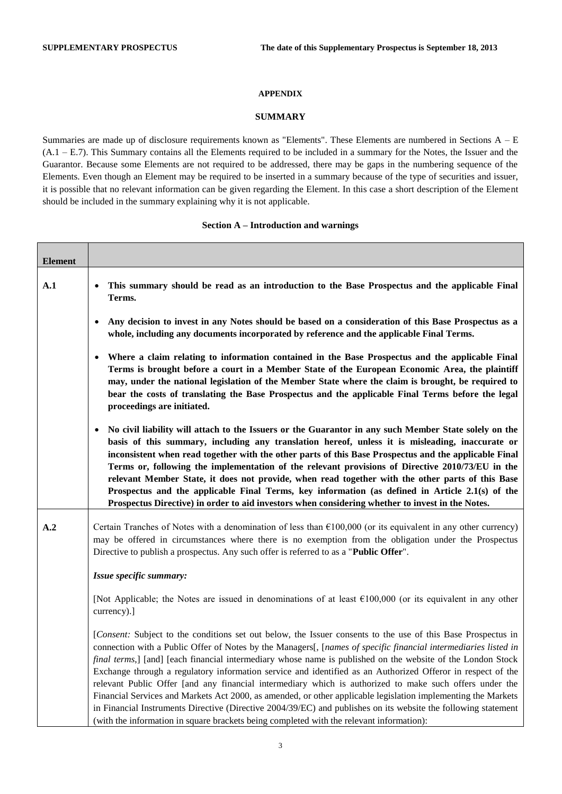#### **APPENDIX**

## **SUMMARY**

Summaries are made up of disclosure requirements known as "Elements". These Elements are numbered in Sections A – E (A.1 – E.7). This Summary contains all the Elements required to be included in a summary for the Notes, the Issuer and the Guarantor. Because some Elements are not required to be addressed, there may be gaps in the numbering sequence of the Elements. Even though an Element may be required to be inserted in a summary because of the type of securities and issuer, it is possible that no relevant information can be given regarding the Element. In this case a short description of the Element should be included in the summary explaining why it is not applicable.

#### **Section A – Introduction and warnings**

| <b>Element</b> |                                                                                                                                                                                                                                                                                                                                                                                                                                                                                                                                                                                                                                                                                                                                                                                                                                                                                                         |
|----------------|---------------------------------------------------------------------------------------------------------------------------------------------------------------------------------------------------------------------------------------------------------------------------------------------------------------------------------------------------------------------------------------------------------------------------------------------------------------------------------------------------------------------------------------------------------------------------------------------------------------------------------------------------------------------------------------------------------------------------------------------------------------------------------------------------------------------------------------------------------------------------------------------------------|
| $\mathbf{A.1}$ | This summary should be read as an introduction to the Base Prospectus and the applicable Final<br>Terms.                                                                                                                                                                                                                                                                                                                                                                                                                                                                                                                                                                                                                                                                                                                                                                                                |
|                | Any decision to invest in any Notes should be based on a consideration of this Base Prospectus as a<br>whole, including any documents incorporated by reference and the applicable Final Terms.                                                                                                                                                                                                                                                                                                                                                                                                                                                                                                                                                                                                                                                                                                         |
|                | Where a claim relating to information contained in the Base Prospectus and the applicable Final<br>Terms is brought before a court in a Member State of the European Economic Area, the plaintiff<br>may, under the national legislation of the Member State where the claim is brought, be required to<br>bear the costs of translating the Base Prospectus and the applicable Final Terms before the legal<br>proceedings are initiated.                                                                                                                                                                                                                                                                                                                                                                                                                                                              |
|                | No civil liability will attach to the Issuers or the Guarantor in any such Member State solely on the<br>basis of this summary, including any translation hereof, unless it is misleading, inaccurate or<br>inconsistent when read together with the other parts of this Base Prospectus and the applicable Final<br>Terms or, following the implementation of the relevant provisions of Directive 2010/73/EU in the<br>relevant Member State, it does not provide, when read together with the other parts of this Base<br>Prospectus and the applicable Final Terms, key information (as defined in Article 2.1(s) of the<br>Prospectus Directive) in order to aid investors when considering whether to invest in the Notes.                                                                                                                                                                        |
| A.2            | Certain Tranches of Notes with a denomination of less than $E100,000$ (or its equivalent in any other currency)<br>may be offered in circumstances where there is no exemption from the obligation under the Prospectus<br>Directive to publish a prospectus. Any such offer is referred to as a "Public Offer".                                                                                                                                                                                                                                                                                                                                                                                                                                                                                                                                                                                        |
|                | Issue specific summary:                                                                                                                                                                                                                                                                                                                                                                                                                                                                                                                                                                                                                                                                                                                                                                                                                                                                                 |
|                | [Not Applicable; the Notes are issued in denominations of at least $€100,000$ (or its equivalent in any other<br>currency).]                                                                                                                                                                                                                                                                                                                                                                                                                                                                                                                                                                                                                                                                                                                                                                            |
|                | [Consent: Subject to the conditions set out below, the Issuer consents to the use of this Base Prospectus in<br>connection with a Public Offer of Notes by the Managers[, [names of specific financial intermediaries listed in<br>final terms,] [and] [each financial intermediary whose name is published on the website of the London Stock<br>Exchange through a regulatory information service and identified as an Authorized Offeror in respect of the<br>relevant Public Offer [and any financial intermediary which is authorized to make such offers under the<br>Financial Services and Markets Act 2000, as amended, or other applicable legislation implementing the Markets<br>in Financial Instruments Directive (Directive 2004/39/EC) and publishes on its website the following statement<br>(with the information in square brackets being completed with the relevant information): |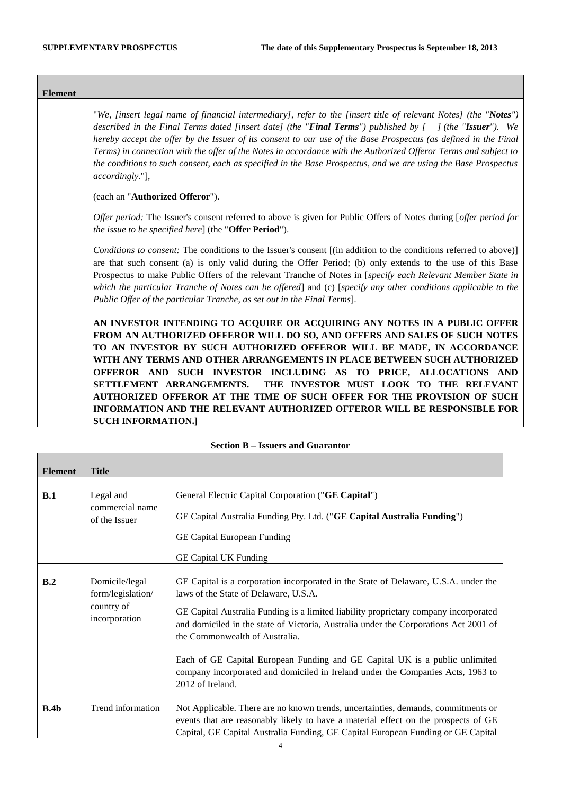Τ

Г

| <b>Element</b> |                                                                                                                                                                                                                                                                                                                                                                                                                                                                                                                                                                                                                                       |
|----------------|---------------------------------------------------------------------------------------------------------------------------------------------------------------------------------------------------------------------------------------------------------------------------------------------------------------------------------------------------------------------------------------------------------------------------------------------------------------------------------------------------------------------------------------------------------------------------------------------------------------------------------------|
|                | "We, [insert legal name of financial intermediary], refer to the [insert title of relevant Notes] (the "Notes")<br>described in the Final Terms dated [insert date] (the "Final Terms") published by $[$ ] (the "Issuer"). We<br>hereby accept the offer by the Issuer of its consent to our use of the Base Prospectus (as defined in the Final<br>Terms) in connection with the offer of the Notes in accordance with the Authorized Offeror Terms and subject to<br>the conditions to such consent, each as specified in the Base Prospectus, and we are using the Base Prospectus<br>accordingly."],                              |
|                | (each an "Authorized Offeror").                                                                                                                                                                                                                                                                                                                                                                                                                                                                                                                                                                                                       |
|                | Offer period: The Issuer's consent referred to above is given for Public Offers of Notes during [offer period for<br><i>the issue to be specified here</i> ] (the " <b>Offer Period</b> ").                                                                                                                                                                                                                                                                                                                                                                                                                                           |
|                | Conditions to consent: The conditions to the Issuer's consent [(in addition to the conditions referred to above)]<br>are that such consent (a) is only valid during the Offer Period; (b) only extends to the use of this Base<br>Prospectus to make Public Offers of the relevant Tranche of Notes in [specify each Relevant Member State in<br>which the particular Tranche of Notes can be offered] and (c) [specify any other conditions applicable to the<br>Public Offer of the particular Tranche, as set out in the Final Terms].                                                                                             |
|                | AN INVESTOR INTENDING TO ACQUIRE OR ACQUIRING ANY NOTES IN A PUBLIC OFFER<br>FROM AN AUTHORIZED OFFEROR WILL DO SO, AND OFFERS AND SALES OF SUCH NOTES<br>TO AN INVESTOR BY SUCH AUTHORIZED OFFEROR WILL BE MADE, IN ACCORDANCE<br>WITH ANY TERMS AND OTHER ARRANGEMENTS IN PLACE BETWEEN SUCH AUTHORIZED<br>OFFEROR AND SUCH INVESTOR INCLUDING AS TO PRICE, ALLOCATIONS AND<br>THE INVESTOR MUST LOOK TO THE RELEVANT<br>SETTLEMENT ARRANGEMENTS.<br>AUTHORIZED OFFEROR AT THE TIME OF SUCH OFFER FOR THE PROVISION OF SUCH<br>INFORMATION AND THE RELEVANT AUTHORIZED OFFEROR WILL BE RESPONSIBLE FOR<br><b>SUCH INFORMATION.]</b> |

<span id="page-3-0"></span>

| <b>Element</b> | <b>Title</b>                                                       |                                                                                                                                                                                                                                                                                                                                                                                                                                                                                                                                      |
|----------------|--------------------------------------------------------------------|--------------------------------------------------------------------------------------------------------------------------------------------------------------------------------------------------------------------------------------------------------------------------------------------------------------------------------------------------------------------------------------------------------------------------------------------------------------------------------------------------------------------------------------|
| B.1            | Legal and<br>commercial name<br>of the Issuer                      | General Electric Capital Corporation ("GE Capital")<br>GE Capital Australia Funding Pty. Ltd. ("GE Capital Australia Funding")<br>GE Capital European Funding<br><b>GE Capital UK Funding</b>                                                                                                                                                                                                                                                                                                                                        |
| B.2            | Domicile/legal<br>form/legislation/<br>country of<br>incorporation | GE Capital is a corporation incorporated in the State of Delaware, U.S.A. under the<br>laws of the State of Delaware, U.S.A.<br>GE Capital Australia Funding is a limited liability proprietary company incorporated<br>and domiciled in the state of Victoria, Australia under the Corporations Act 2001 of<br>the Commonwealth of Australia.<br>Each of GE Capital European Funding and GE Capital UK is a public unlimited<br>company incorporated and domiciled in Ireland under the Companies Acts, 1963 to<br>2012 of Ireland. |
| B.4b           | Trend information                                                  | Not Applicable. There are no known trends, uncertainties, demands, commitments or<br>events that are reasonably likely to have a material effect on the prospects of GE<br>Capital, GE Capital Australia Funding, GE Capital European Funding or GE Capital                                                                                                                                                                                                                                                                          |

# **Section B – Issuers and Guarantor**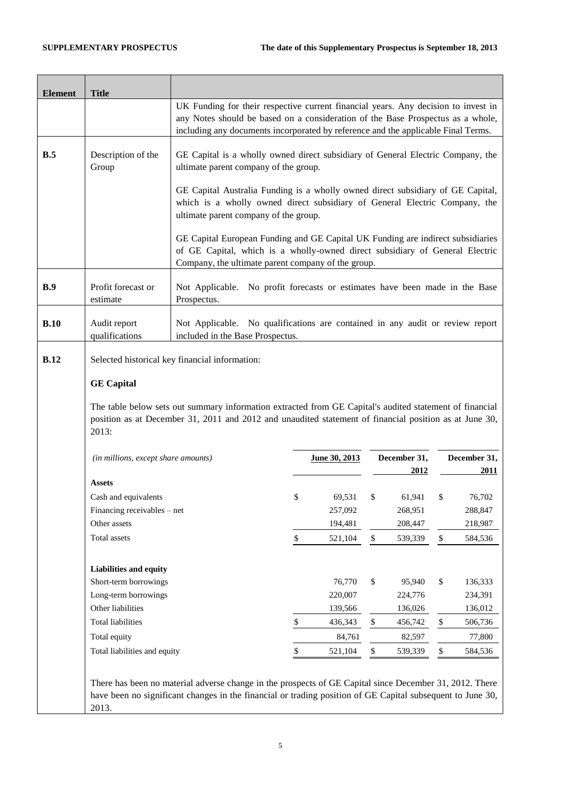| <b>Element</b> | <b>Title</b>                                                                                                                                            |                                                                                                                                                                                                                       |                                                                                                                                                                                                                                                            |               |      |                      |    |                      |
|----------------|---------------------------------------------------------------------------------------------------------------------------------------------------------|-----------------------------------------------------------------------------------------------------------------------------------------------------------------------------------------------------------------------|------------------------------------------------------------------------------------------------------------------------------------------------------------------------------------------------------------------------------------------------------------|---------------|------|----------------------|----|----------------------|
|                |                                                                                                                                                         |                                                                                                                                                                                                                       | UK Funding for their respective current financial years. Any decision to invest in<br>any Notes should be based on a consideration of the Base Prospectus as a whole,<br>including any documents incorporated by reference and the applicable Final Terms. |               |      |                      |    |                      |
| B.5            | Description of the<br>GE Capital is a wholly owned direct subsidiary of General Electric Company, the<br>Group<br>ultimate parent company of the group. |                                                                                                                                                                                                                       |                                                                                                                                                                                                                                                            |               |      |                      |    |                      |
|                |                                                                                                                                                         | GE Capital Australia Funding is a wholly owned direct subsidiary of GE Capital,<br>which is a wholly owned direct subsidiary of General Electric Company, the<br>ultimate parent company of the group.                |                                                                                                                                                                                                                                                            |               |      |                      |    |                      |
|                |                                                                                                                                                         | GE Capital European Funding and GE Capital UK Funding are indirect subsidiaries<br>of GE Capital, which is a wholly-owned direct subsidiary of General Electric<br>Company, the ultimate parent company of the group. |                                                                                                                                                                                                                                                            |               |      |                      |    |                      |
| B.9            | Profit forecast or<br>estimate                                                                                                                          | Not Applicable. No profit forecasts or estimates have been made in the Base<br>Prospectus.                                                                                                                            |                                                                                                                                                                                                                                                            |               |      |                      |    |                      |
| B.10           | Audit report<br>qualifications                                                                                                                          | Not Applicable. No qualifications are contained in any audit or review report<br>included in the Base Prospectus.                                                                                                     |                                                                                                                                                                                                                                                            |               |      |                      |    |                      |
| <b>B.12</b>    |                                                                                                                                                         | Selected historical key financial information:                                                                                                                                                                        |                                                                                                                                                                                                                                                            |               |      |                      |    |                      |
|                | <b>GE</b> Capital                                                                                                                                       |                                                                                                                                                                                                                       |                                                                                                                                                                                                                                                            |               |      |                      |    |                      |
|                | 2013:                                                                                                                                                   | The table below sets out summary information extracted from GE Capital's audited statement of financial<br>position as at December 31, 2011 and 2012 and unaudited statement of financial position as at June 30,     |                                                                                                                                                                                                                                                            |               |      |                      |    |                      |
|                | (in millions, except share amounts)                                                                                                                     |                                                                                                                                                                                                                       |                                                                                                                                                                                                                                                            | June 30, 2013 |      | December 31,<br>2012 |    | December 31,<br>2011 |
|                | <b>Assets</b>                                                                                                                                           |                                                                                                                                                                                                                       |                                                                                                                                                                                                                                                            |               |      |                      |    |                      |
|                | Cash and equivalents                                                                                                                                    |                                                                                                                                                                                                                       | \$                                                                                                                                                                                                                                                         | 69,531        | \$   | 61,941               | \$ | 76,702               |
|                | Financing receivables - net                                                                                                                             |                                                                                                                                                                                                                       |                                                                                                                                                                                                                                                            | 257,092       |      | 268,951              |    | 288,847              |
|                | Other assets                                                                                                                                            |                                                                                                                                                                                                                       |                                                                                                                                                                                                                                                            | 194,481       |      | 208,447              |    | 218,987              |
|                | Total assets                                                                                                                                            |                                                                                                                                                                                                                       | \$                                                                                                                                                                                                                                                         | 521,104       | \$   | 539,339              | \$ | 584,536              |
|                | <b>Liabilities and equity</b>                                                                                                                           |                                                                                                                                                                                                                       |                                                                                                                                                                                                                                                            |               |      |                      |    |                      |
|                | Short-term borrowings                                                                                                                                   |                                                                                                                                                                                                                       |                                                                                                                                                                                                                                                            | 76,770        | \$   | 95,940               | \$ | 136,333              |
|                | Long-term borrowings                                                                                                                                    |                                                                                                                                                                                                                       |                                                                                                                                                                                                                                                            | 220,007       |      | 224,776              |    | 234,391              |
|                | Other liabilities                                                                                                                                       |                                                                                                                                                                                                                       |                                                                                                                                                                                                                                                            | 139,566       |      | 136,026              |    | 136,012              |
|                | <b>Total liabilities</b>                                                                                                                                |                                                                                                                                                                                                                       | \$                                                                                                                                                                                                                                                         | 436,343       | \$   | 456,742              | \$ | 506,736              |
|                | Total equity                                                                                                                                            |                                                                                                                                                                                                                       |                                                                                                                                                                                                                                                            | 84,761        |      | 82,597               |    | 77,800               |
|                | Total liabilities and equity                                                                                                                            |                                                                                                                                                                                                                       | \$                                                                                                                                                                                                                                                         | 521,104       | $\$$ | 539,339              | \$ | 584,536              |
|                | 2013.                                                                                                                                                   | There has been no material adverse change in the prospects of GE Capital since December 31, 2012. There<br>have been no significant changes in the financial or trading position of GE Capital subsequent to June 30, |                                                                                                                                                                                                                                                            |               |      |                      |    |                      |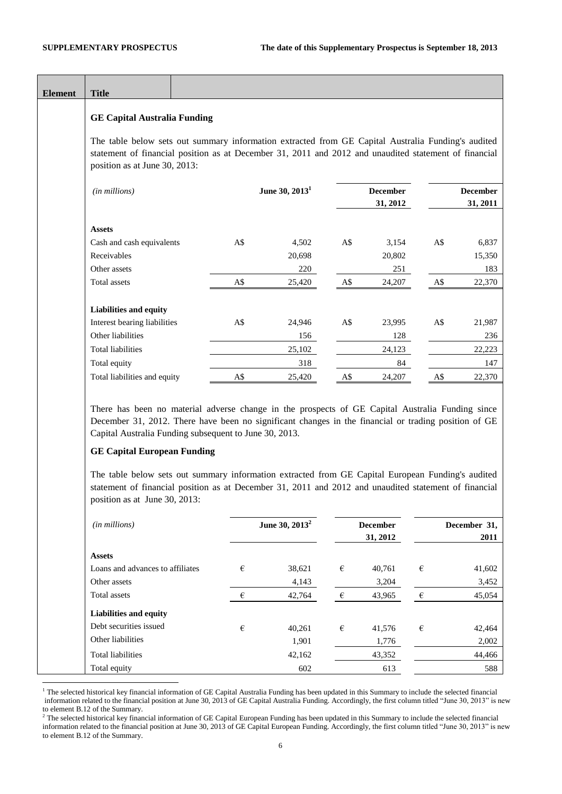$\overline{a}$ 

| <b>Element</b> | <b>Title</b>                                                                                                                                                                                                                                                                                                                                                                                                                                                                                                           |     |                            |                         |                             |            |                             |
|----------------|------------------------------------------------------------------------------------------------------------------------------------------------------------------------------------------------------------------------------------------------------------------------------------------------------------------------------------------------------------------------------------------------------------------------------------------------------------------------------------------------------------------------|-----|----------------------------|-------------------------|-----------------------------|------------|-----------------------------|
|                | <b>GE Capital Australia Funding</b>                                                                                                                                                                                                                                                                                                                                                                                                                                                                                    |     |                            |                         |                             |            |                             |
|                | The table below sets out summary information extracted from GE Capital Australia Funding's audited<br>statement of financial position as at December 31, 2011 and 2012 and unaudited statement of financial<br>position as at June 30, 2013:                                                                                                                                                                                                                                                                           |     |                            |                         |                             |            |                             |
|                | (in millions)                                                                                                                                                                                                                                                                                                                                                                                                                                                                                                          |     | June 30, 2013 <sup>1</sup> |                         | <b>December</b><br>31, 2012 |            | <b>December</b><br>31, 2011 |
|                | <b>Assets</b>                                                                                                                                                                                                                                                                                                                                                                                                                                                                                                          |     |                            |                         |                             |            |                             |
|                | Cash and cash equivalents                                                                                                                                                                                                                                                                                                                                                                                                                                                                                              | A\$ | 4,502                      | A\$                     | 3,154                       | A\$        | 6,837                       |
|                | Receivables                                                                                                                                                                                                                                                                                                                                                                                                                                                                                                            |     | 20,698                     |                         | 20,802                      |            | 15,350                      |
|                | Other assets                                                                                                                                                                                                                                                                                                                                                                                                                                                                                                           |     | 220                        |                         | 251                         |            | 183                         |
|                | Total assets                                                                                                                                                                                                                                                                                                                                                                                                                                                                                                           | A\$ | 25,420                     | A\$                     | 24,207                      | A\$        | 22,370                      |
|                | Liabilities and equity                                                                                                                                                                                                                                                                                                                                                                                                                                                                                                 |     |                            |                         |                             |            |                             |
|                | Interest bearing liabilities                                                                                                                                                                                                                                                                                                                                                                                                                                                                                           | A\$ | 24,946                     | A\$                     | 23,995                      | A\$        | 21,987                      |
|                | Other liabilities                                                                                                                                                                                                                                                                                                                                                                                                                                                                                                      |     | 156                        |                         | 128                         |            | 236                         |
|                | <b>Total liabilities</b>                                                                                                                                                                                                                                                                                                                                                                                                                                                                                               |     | 25,102                     |                         | 24,123                      |            | 22,223                      |
|                | Total equity                                                                                                                                                                                                                                                                                                                                                                                                                                                                                                           |     | 318                        |                         | 84                          |            | 147                         |
|                | Total liabilities and equity                                                                                                                                                                                                                                                                                                                                                                                                                                                                                           | A\$ | 25,420                     | A\$                     | 24,207                      | A\$        | 22,370                      |
|                | There has been no material adverse change in the prospects of GE Capital Australia Funding since<br>December 31, 2012. There have been no significant changes in the financial or trading position of GE<br>Capital Australia Funding subsequent to June 30, 2013.<br><b>GE Capital European Funding</b><br>The table below sets out summary information extracted from GE Capital European Funding's audited<br>statement of financial position as at December 31, 2011 and 2012 and unaudited statement of financial |     |                            |                         |                             |            |                             |
|                | position as at June 30, 2013:                                                                                                                                                                                                                                                                                                                                                                                                                                                                                          |     |                            |                         |                             |            |                             |
|                | (in millions)                                                                                                                                                                                                                                                                                                                                                                                                                                                                                                          |     | June 30, 2013 <sup>2</sup> |                         | <b>December</b><br>31, 2012 |            | December 31,<br>2011        |
|                | <b>Assets</b>                                                                                                                                                                                                                                                                                                                                                                                                                                                                                                          |     |                            |                         |                             |            |                             |
|                | Loans and advances to affiliates                                                                                                                                                                                                                                                                                                                                                                                                                                                                                       | €   | 38,621                     | $\boldsymbol{\epsilon}$ | 40,761                      | $\epsilon$ | 41,602                      |

| Loans and advances to all mates |   | 30,041 | ◡ | 40,701 | ◡ | $+1,002$ |
|---------------------------------|---|--------|---|--------|---|----------|
| Other assets                    |   | 4,143  |   | 3,204  |   | 3,452    |
| Total assets                    | € | 42,764 | € | 43,965 | € | 45,054   |
| Liabilities and equity          |   |        |   |        |   |          |
| Debt securities issued          | € | 40,261 | € | 41,576 | € | 42,464   |
| Other liabilities               |   | 1,901  |   | 1,776  |   | 2,002    |
| <b>Total liabilities</b>        |   | 42,162 |   | 43,352 |   | 44,466   |
| Total equity                    |   | 602    |   | 613    |   | 588      |

 $<sup>1</sup>$  The selected historical key financial information of GE Capital Australia Funding has been updated in this Summary to include the selected financial</sup> information related to the financial position at June 30, 2013 of GE Capital Australia Funding. Accordingly, the first column titled "June 30, 2013" is new to element B.12 of the Summary.

 $<sup>2</sup>$  The selected historical key financial information of GE Capital European Funding has been updated in this Summary to include the selected financial</sup> information related to the financial position at June 30, 2013 of GE Capital European Funding. Accordingly, the first column titled "June 30, 2013" is new to element B.12 of the Summary.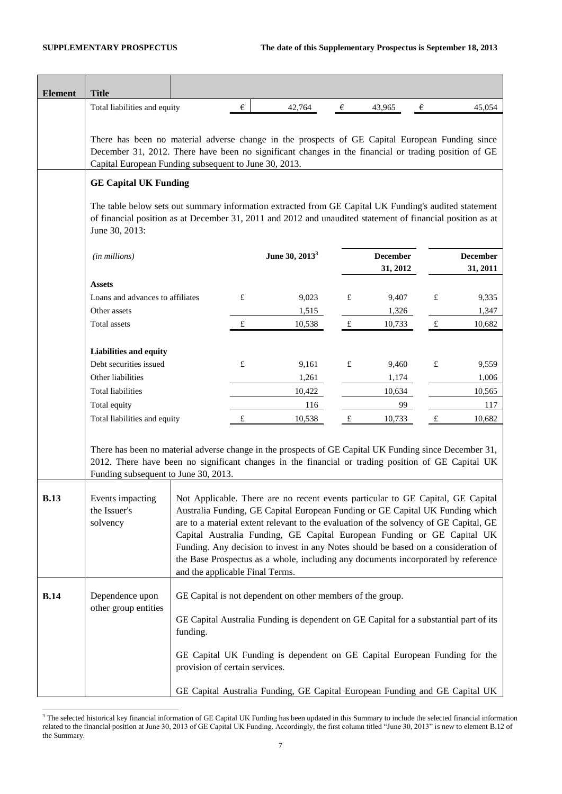| <b>Element</b> | <b>Title</b>                                                                                                                                                                                                                                                     |                                 |   |                                                                                                                                                                                                                                                                                                                                                                                                                                                                                                                 |             |                             |             |                             |
|----------------|------------------------------------------------------------------------------------------------------------------------------------------------------------------------------------------------------------------------------------------------------------------|---------------------------------|---|-----------------------------------------------------------------------------------------------------------------------------------------------------------------------------------------------------------------------------------------------------------------------------------------------------------------------------------------------------------------------------------------------------------------------------------------------------------------------------------------------------------------|-------------|-----------------------------|-------------|-----------------------------|
|                | Total liabilities and equity                                                                                                                                                                                                                                     |                                 | € | 42,764                                                                                                                                                                                                                                                                                                                                                                                                                                                                                                          | $\epsilon$  | 43,965                      | €           | 45,054                      |
|                | There has been no material adverse change in the prospects of GE Capital European Funding since<br>December 31, 2012. There have been no significant changes in the financial or trading position of GE<br>Capital European Funding subsequent to June 30, 2013. |                                 |   |                                                                                                                                                                                                                                                                                                                                                                                                                                                                                                                 |             |                             |             |                             |
|                | <b>GE Capital UK Funding</b>                                                                                                                                                                                                                                     |                                 |   |                                                                                                                                                                                                                                                                                                                                                                                                                                                                                                                 |             |                             |             |                             |
|                | The table below sets out summary information extracted from GE Capital UK Funding's audited statement<br>of financial position as at December 31, 2011 and 2012 and unaudited statement of financial position as at<br>June 30, 2013:                            |                                 |   |                                                                                                                                                                                                                                                                                                                                                                                                                                                                                                                 |             |                             |             |                             |
|                | (in millions)                                                                                                                                                                                                                                                    |                                 |   | June 30, 2013 <sup>3</sup>                                                                                                                                                                                                                                                                                                                                                                                                                                                                                      |             | <b>December</b><br>31, 2012 |             | <b>December</b><br>31, 2011 |
|                |                                                                                                                                                                                                                                                                  |                                 |   |                                                                                                                                                                                                                                                                                                                                                                                                                                                                                                                 |             |                             |             |                             |
|                | <b>Assets</b><br>Loans and advances to affiliates                                                                                                                                                                                                                |                                 | £ | 9,023                                                                                                                                                                                                                                                                                                                                                                                                                                                                                                           | £           | 9,407                       | £           | 9,335                       |
|                | Other assets                                                                                                                                                                                                                                                     |                                 |   | 1,515                                                                                                                                                                                                                                                                                                                                                                                                                                                                                                           |             | 1,326                       |             | 1,347                       |
|                | <b>Total</b> assets                                                                                                                                                                                                                                              |                                 | £ | 10,538                                                                                                                                                                                                                                                                                                                                                                                                                                                                                                          | $\mathbf f$ | 10,733                      | $\pounds$   | 10,682                      |
|                |                                                                                                                                                                                                                                                                  |                                 |   |                                                                                                                                                                                                                                                                                                                                                                                                                                                                                                                 |             |                             |             |                             |
|                | Liabilities and equity                                                                                                                                                                                                                                           |                                 |   |                                                                                                                                                                                                                                                                                                                                                                                                                                                                                                                 |             |                             |             |                             |
|                | Debt securities issued                                                                                                                                                                                                                                           |                                 | £ | 9,161                                                                                                                                                                                                                                                                                                                                                                                                                                                                                                           | £           | 9,460                       | $\pounds$   | 9,559                       |
|                | Other liabilities                                                                                                                                                                                                                                                |                                 |   | 1,261                                                                                                                                                                                                                                                                                                                                                                                                                                                                                                           |             | 1,174                       |             | 1,006                       |
|                | <b>Total liabilities</b>                                                                                                                                                                                                                                         |                                 |   | 10,422                                                                                                                                                                                                                                                                                                                                                                                                                                                                                                          |             | 10,634                      |             | 10,565                      |
|                | Total equity                                                                                                                                                                                                                                                     |                                 |   | 116                                                                                                                                                                                                                                                                                                                                                                                                                                                                                                             |             | 99                          |             | 117                         |
|                | Total liabilities and equity                                                                                                                                                                                                                                     |                                 | £ | 10,538                                                                                                                                                                                                                                                                                                                                                                                                                                                                                                          | $\mathbf f$ | 10,733                      | $\mathbf f$ | 10,682                      |
|                | There has been no material adverse change in the prospects of GE Capital UK Funding since December 31,<br>2012. There have been no significant changes in the financial or trading position of GE Capital UK<br>Funding subsequent to June 30, 2013.             |                                 |   |                                                                                                                                                                                                                                                                                                                                                                                                                                                                                                                 |             |                             |             |                             |
| <b>B.13</b>    | Events impacting<br>the Issuer's<br>solvency                                                                                                                                                                                                                     | and the applicable Final Terms. |   | Not Applicable. There are no recent events particular to GE Capital, GE Capital<br>Australia Funding, GE Capital European Funding or GE Capital UK Funding which<br>are to a material extent relevant to the evaluation of the solvency of GE Capital, GE<br>Capital Australia Funding, GE Capital European Funding or GE Capital UK<br>Funding. Any decision to invest in any Notes should be based on a consideration of<br>the Base Prospectus as a whole, including any documents incorporated by reference |             |                             |             |                             |
| <b>B.14</b>    | Dependence upon<br>other group entities                                                                                                                                                                                                                          | funding.                        |   | GE Capital is not dependent on other members of the group.<br>GE Capital Australia Funding is dependent on GE Capital for a substantial part of its                                                                                                                                                                                                                                                                                                                                                             |             |                             |             |                             |
|                |                                                                                                                                                                                                                                                                  | provision of certain services.  |   | GE Capital UK Funding is dependent on GE Capital European Funding for the                                                                                                                                                                                                                                                                                                                                                                                                                                       |             |                             |             |                             |
|                |                                                                                                                                                                                                                                                                  |                                 |   | GE Capital Australia Funding, GE Capital European Funding and GE Capital UK                                                                                                                                                                                                                                                                                                                                                                                                                                     |             |                             |             |                             |

l  $3$  The selected historical key financial information of GE Capital UK Funding has been updated in this Summary to include the selected financial information related to the financial position at June 30, 2013 of GE Capital UK Funding. Accordingly, the first column titled "June 30, 2013" is new to element B.12 of the Summary.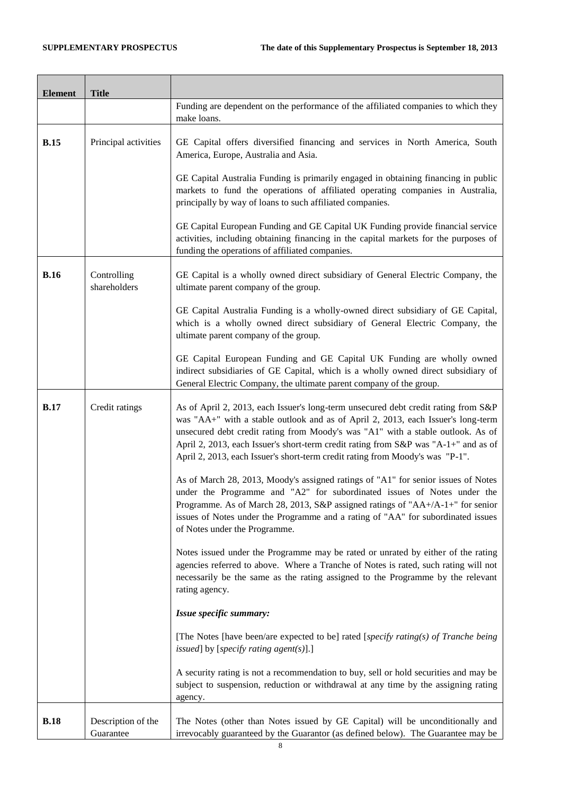$\overline{\phantom{0}}$ 

 $\overline{\phantom{a}}$ 

 $\blacksquare$ 

J.

| <b>Element</b> | <b>Title</b>                    |                                                                                                                                                                                                                                                                                                                                                                                                                                   |
|----------------|---------------------------------|-----------------------------------------------------------------------------------------------------------------------------------------------------------------------------------------------------------------------------------------------------------------------------------------------------------------------------------------------------------------------------------------------------------------------------------|
|                |                                 | Funding are dependent on the performance of the affiliated companies to which they<br>make loans.                                                                                                                                                                                                                                                                                                                                 |
| <b>B.15</b>    | Principal activities            | GE Capital offers diversified financing and services in North America, South<br>America, Europe, Australia and Asia.                                                                                                                                                                                                                                                                                                              |
|                |                                 | GE Capital Australia Funding is primarily engaged in obtaining financing in public<br>markets to fund the operations of affiliated operating companies in Australia,<br>principally by way of loans to such affiliated companies.                                                                                                                                                                                                 |
|                |                                 | GE Capital European Funding and GE Capital UK Funding provide financial service<br>activities, including obtaining financing in the capital markets for the purposes of<br>funding the operations of affiliated companies.                                                                                                                                                                                                        |
| <b>B.16</b>    | Controlling<br>shareholders     | GE Capital is a wholly owned direct subsidiary of General Electric Company, the<br>ultimate parent company of the group.                                                                                                                                                                                                                                                                                                          |
|                |                                 | GE Capital Australia Funding is a wholly-owned direct subsidiary of GE Capital,<br>which is a wholly owned direct subsidiary of General Electric Company, the<br>ultimate parent company of the group.                                                                                                                                                                                                                            |
|                |                                 | GE Capital European Funding and GE Capital UK Funding are wholly owned<br>indirect subsidiaries of GE Capital, which is a wholly owned direct subsidiary of<br>General Electric Company, the ultimate parent company of the group.                                                                                                                                                                                                |
| <b>B.17</b>    | Credit ratings                  | As of April 2, 2013, each Issuer's long-term unsecured debt credit rating from S&P<br>was "AA+" with a stable outlook and as of April 2, 2013, each Issuer's long-term<br>unsecured debt credit rating from Moody's was "A1" with a stable outlook. As of<br>April 2, 2013, each Issuer's short-term credit rating from S&P was "A-1+" and as of<br>April 2, 2013, each Issuer's short-term credit rating from Moody's was "P-1". |
|                |                                 | As of March 28, 2013, Moody's assigned ratings of "A1" for senior issues of Notes<br>under the Programme and "A2" for subordinated issues of Notes under the<br>Programme. As of March 28, 2013, S&P assigned ratings of " $AA+/A-1+$ " for senior<br>issues of Notes under the Programme and a rating of "AA" for subordinated issues<br>of Notes under the Programme.                                                           |
|                |                                 | Notes issued under the Programme may be rated or unrated by either of the rating<br>agencies referred to above. Where a Tranche of Notes is rated, such rating will not<br>necessarily be the same as the rating assigned to the Programme by the relevant<br>rating agency.                                                                                                                                                      |
|                |                                 | Issue specific summary:                                                                                                                                                                                                                                                                                                                                                                                                           |
|                |                                 | [The Notes [have been/are expected to be] rated [specify rating(s) of Tranche being<br>issued] by [specify rating agent(s)].]                                                                                                                                                                                                                                                                                                     |
|                |                                 | A security rating is not a recommendation to buy, sell or hold securities and may be<br>subject to suspension, reduction or withdrawal at any time by the assigning rating<br>agency.                                                                                                                                                                                                                                             |
| <b>B.18</b>    | Description of the<br>Guarantee | The Notes (other than Notes issued by GE Capital) will be unconditionally and<br>irrevocably guaranteed by the Guarantor (as defined below). The Guarantee may be                                                                                                                                                                                                                                                                 |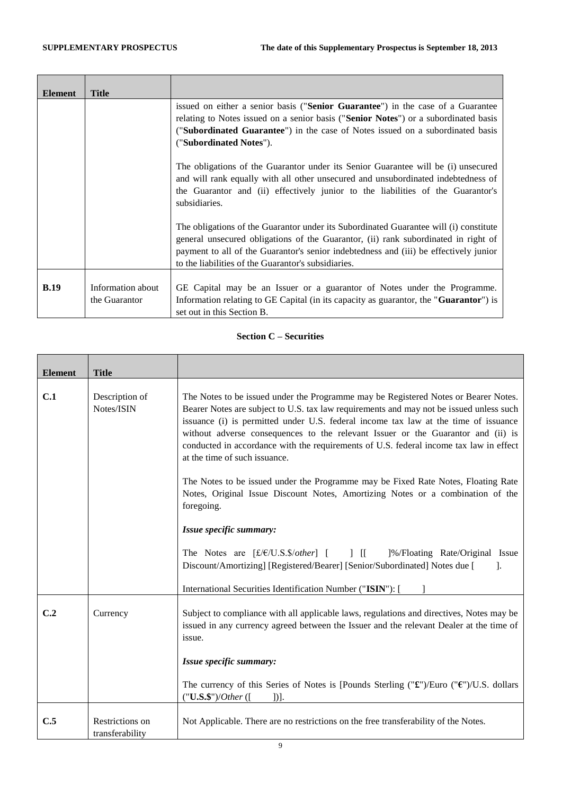| <b>Element</b> | <b>Title</b>                       |                                                                                                                                                                                                                                                                                                                             |
|----------------|------------------------------------|-----------------------------------------------------------------------------------------------------------------------------------------------------------------------------------------------------------------------------------------------------------------------------------------------------------------------------|
|                |                                    | issued on either a senior basis (" <b>Senior Guarantee</b> ") in the case of a Guarantee<br>relating to Notes issued on a senior basis ("Senior Notes") or a subordinated basis<br>("Subordinated Guarantee") in the case of Notes issued on a subordinated basis<br>("Subordinated Notes").                                |
|                |                                    | The obligations of the Guarantor under its Senior Guarantee will be (i) unsecured<br>and will rank equally with all other unsecured and unsubordinated indebtedness of<br>the Guarantor and (ii) effectively junior to the liabilities of the Guarantor's<br>subsidiaries.                                                  |
|                |                                    | The obligations of the Guarantor under its Subordinated Guarantee will (i) constitute<br>general unsecured obligations of the Guarantor, (ii) rank subordinated in right of<br>payment to all of the Guarantor's senior indebtedness and (iii) be effectively junior<br>to the liabilities of the Guarantor's subsidiaries. |
| B.19           | Information about<br>the Guarantor | GE Capital may be an Issuer or a guarantor of Notes under the Programme.<br>Information relating to GE Capital (in its capacity as guarantor, the " <b>Guarantor</b> ") is<br>set out in this Section B.                                                                                                                    |

# **Section C – Securities**

| <b>Element</b> | <b>Title</b>                       |                                                                                                                                                                                                                                                                                                                                                                                                                                                                                      |
|----------------|------------------------------------|--------------------------------------------------------------------------------------------------------------------------------------------------------------------------------------------------------------------------------------------------------------------------------------------------------------------------------------------------------------------------------------------------------------------------------------------------------------------------------------|
| C.1            | Description of<br>Notes/ISIN       | The Notes to be issued under the Programme may be Registered Notes or Bearer Notes.<br>Bearer Notes are subject to U.S. tax law requirements and may not be issued unless such<br>issuance (i) is permitted under U.S. federal income tax law at the time of issuance<br>without adverse consequences to the relevant Issuer or the Guarantor and (ii) is<br>conducted in accordance with the requirements of U.S. federal income tax law in effect<br>at the time of such issuance. |
|                |                                    | The Notes to be issued under the Programme may be Fixed Rate Notes, Floating Rate<br>Notes, Original Issue Discount Notes, Amortizing Notes or a combination of the<br>foregoing.                                                                                                                                                                                                                                                                                                    |
|                |                                    | Issue specific summary:                                                                                                                                                                                                                                                                                                                                                                                                                                                              |
|                |                                    | The Notes are [£/€/U.S.\$/other] [ ] [[ ]%/Floating Rate/Original Issue<br>Discount/Amortizing] [Registered/Bearer] [Senior/Subordinated] Notes due [<br>-1.                                                                                                                                                                                                                                                                                                                         |
|                |                                    | International Securities Identification Number ("ISIN"): [                                                                                                                                                                                                                                                                                                                                                                                                                           |
| C.2            | Currency                           | Subject to compliance with all applicable laws, regulations and directives, Notes may be<br>issued in any currency agreed between the Issuer and the relevant Dealer at the time of<br>issue.                                                                                                                                                                                                                                                                                        |
|                |                                    | Issue specific summary:                                                                                                                                                                                                                                                                                                                                                                                                                                                              |
|                |                                    | The currency of this Series of Notes is [Pounds Sterling (" $\mathbf{\hat{x}}$ ")/Euro (" $\mathbf{\hat{y}}$ ")/U.S. dollars<br>("U.S.\$")/Other ([<br>$]$ ].                                                                                                                                                                                                                                                                                                                        |
| C.5            | Restrictions on<br>transferability | Not Applicable. There are no restrictions on the free transferability of the Notes.                                                                                                                                                                                                                                                                                                                                                                                                  |

9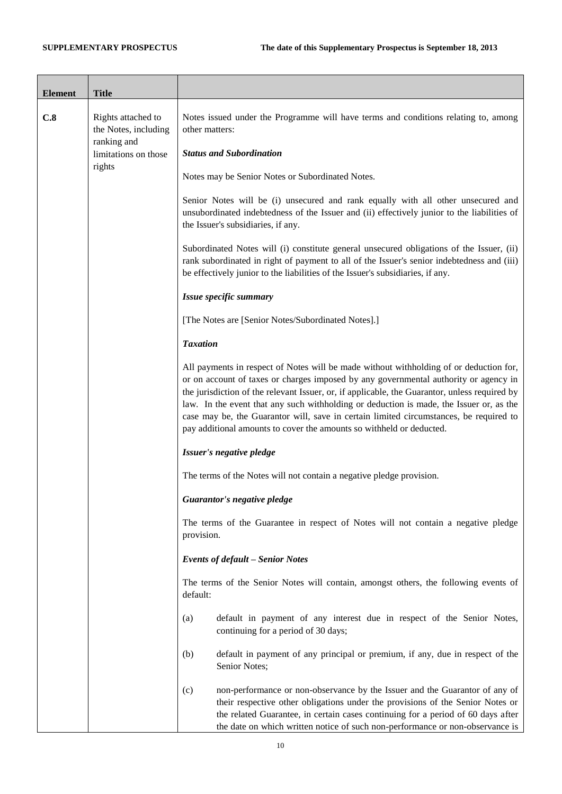| <b>Element</b> | <b>Title</b>                                              |                                                                                                                                                                                                                                                                                                                                                                                                                                                                                                                                              |
|----------------|-----------------------------------------------------------|----------------------------------------------------------------------------------------------------------------------------------------------------------------------------------------------------------------------------------------------------------------------------------------------------------------------------------------------------------------------------------------------------------------------------------------------------------------------------------------------------------------------------------------------|
| C.8            | Rights attached to<br>the Notes, including<br>ranking and | Notes issued under the Programme will have terms and conditions relating to, among<br>other matters:                                                                                                                                                                                                                                                                                                                                                                                                                                         |
|                | limitations on those<br>rights                            | <b>Status and Subordination</b>                                                                                                                                                                                                                                                                                                                                                                                                                                                                                                              |
|                |                                                           | Notes may be Senior Notes or Subordinated Notes.                                                                                                                                                                                                                                                                                                                                                                                                                                                                                             |
|                |                                                           | Senior Notes will be (i) unsecured and rank equally with all other unsecured and<br>unsubordinated indebtedness of the Issuer and (ii) effectively junior to the liabilities of<br>the Issuer's subsidiaries, if any.                                                                                                                                                                                                                                                                                                                        |
|                |                                                           | Subordinated Notes will (i) constitute general unsecured obligations of the Issuer, (ii)<br>rank subordinated in right of payment to all of the Issuer's senior indebtedness and (iii)<br>be effectively junior to the liabilities of the Issuer's subsidiaries, if any.                                                                                                                                                                                                                                                                     |
|                |                                                           | Issue specific summary                                                                                                                                                                                                                                                                                                                                                                                                                                                                                                                       |
|                |                                                           | [The Notes are [Senior Notes/Subordinated Notes].]                                                                                                                                                                                                                                                                                                                                                                                                                                                                                           |
|                |                                                           | <b>Taxation</b>                                                                                                                                                                                                                                                                                                                                                                                                                                                                                                                              |
|                |                                                           | All payments in respect of Notes will be made without withholding of or deduction for,<br>or on account of taxes or charges imposed by any governmental authority or agency in<br>the jurisdiction of the relevant Issuer, or, if applicable, the Guarantor, unless required by<br>law. In the event that any such withholding or deduction is made, the Issuer or, as the<br>case may be, the Guarantor will, save in certain limited circumstances, be required to<br>pay additional amounts to cover the amounts so withheld or deducted. |
|                |                                                           | Issuer's negative pledge                                                                                                                                                                                                                                                                                                                                                                                                                                                                                                                     |
|                |                                                           | The terms of the Notes will not contain a negative pledge provision.                                                                                                                                                                                                                                                                                                                                                                                                                                                                         |
|                |                                                           | Guarantor's negative pledge                                                                                                                                                                                                                                                                                                                                                                                                                                                                                                                  |
|                |                                                           | The terms of the Guarantee in respect of Notes will not contain a negative pledge<br>provision.                                                                                                                                                                                                                                                                                                                                                                                                                                              |
|                |                                                           | <b>Events of default - Senior Notes</b>                                                                                                                                                                                                                                                                                                                                                                                                                                                                                                      |
|                |                                                           | The terms of the Senior Notes will contain, amongst others, the following events of<br>default:                                                                                                                                                                                                                                                                                                                                                                                                                                              |
|                |                                                           | default in payment of any interest due in respect of the Senior Notes,<br>(a)<br>continuing for a period of 30 days;                                                                                                                                                                                                                                                                                                                                                                                                                         |
|                |                                                           | default in payment of any principal or premium, if any, due in respect of the<br>(b)<br>Senior Notes;                                                                                                                                                                                                                                                                                                                                                                                                                                        |
|                |                                                           | non-performance or non-observance by the Issuer and the Guarantor of any of<br>(c)<br>their respective other obligations under the provisions of the Senior Notes or<br>the related Guarantee, in certain cases continuing for a period of 60 days after<br>the date on which written notice of such non-performance or non-observance is                                                                                                                                                                                                    |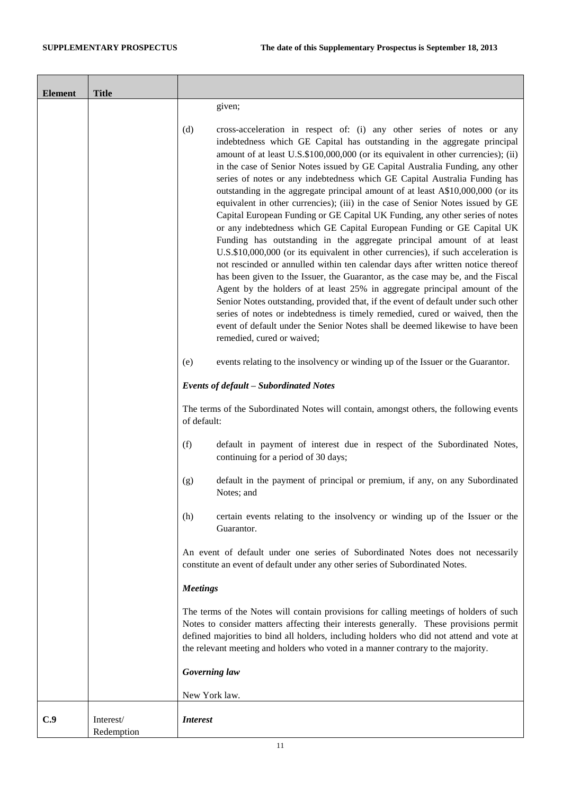| <b>Element</b> | <b>Title</b>            |                                                                                                                                                                                                                                                                                                                                                                                                                                                                                                                                                                                                                                                                                                                                                                                                                                                                                                                                                                                                                                                                                                                                                                                                                                                                                                                                                                                                                                                      |
|----------------|-------------------------|------------------------------------------------------------------------------------------------------------------------------------------------------------------------------------------------------------------------------------------------------------------------------------------------------------------------------------------------------------------------------------------------------------------------------------------------------------------------------------------------------------------------------------------------------------------------------------------------------------------------------------------------------------------------------------------------------------------------------------------------------------------------------------------------------------------------------------------------------------------------------------------------------------------------------------------------------------------------------------------------------------------------------------------------------------------------------------------------------------------------------------------------------------------------------------------------------------------------------------------------------------------------------------------------------------------------------------------------------------------------------------------------------------------------------------------------------|
|                |                         | given;                                                                                                                                                                                                                                                                                                                                                                                                                                                                                                                                                                                                                                                                                                                                                                                                                                                                                                                                                                                                                                                                                                                                                                                                                                                                                                                                                                                                                                               |
|                |                         | (d)<br>cross-acceleration in respect of: (i) any other series of notes or any<br>indebtedness which GE Capital has outstanding in the aggregate principal<br>amount of at least U.S.\$100,000,000 (or its equivalent in other currencies); (ii)<br>in the case of Senior Notes issued by GE Capital Australia Funding, any other<br>series of notes or any indebtedness which GE Capital Australia Funding has<br>outstanding in the aggregate principal amount of at least A\$10,000,000 (or its<br>equivalent in other currencies); (iii) in the case of Senior Notes issued by GE<br>Capital European Funding or GE Capital UK Funding, any other series of notes<br>or any indebtedness which GE Capital European Funding or GE Capital UK<br>Funding has outstanding in the aggregate principal amount of at least<br>U.S.\$10,000,000 (or its equivalent in other currencies), if such acceleration is<br>not rescinded or annulled within ten calendar days after written notice thereof<br>has been given to the Issuer, the Guarantor, as the case may be, and the Fiscal<br>Agent by the holders of at least 25% in aggregate principal amount of the<br>Senior Notes outstanding, provided that, if the event of default under such other<br>series of notes or indebtedness is timely remedied, cured or waived, then the<br>event of default under the Senior Notes shall be deemed likewise to have been<br>remedied, cured or waived; |
|                |                         | events relating to the insolvency or winding up of the Issuer or the Guarantor.<br>(e)                                                                                                                                                                                                                                                                                                                                                                                                                                                                                                                                                                                                                                                                                                                                                                                                                                                                                                                                                                                                                                                                                                                                                                                                                                                                                                                                                               |
|                |                         | <b>Events of default - Subordinated Notes</b>                                                                                                                                                                                                                                                                                                                                                                                                                                                                                                                                                                                                                                                                                                                                                                                                                                                                                                                                                                                                                                                                                                                                                                                                                                                                                                                                                                                                        |
|                |                         | The terms of the Subordinated Notes will contain, amongst others, the following events<br>of default:                                                                                                                                                                                                                                                                                                                                                                                                                                                                                                                                                                                                                                                                                                                                                                                                                                                                                                                                                                                                                                                                                                                                                                                                                                                                                                                                                |
|                |                         | (f)<br>default in payment of interest due in respect of the Subordinated Notes,<br>continuing for a period of 30 days;                                                                                                                                                                                                                                                                                                                                                                                                                                                                                                                                                                                                                                                                                                                                                                                                                                                                                                                                                                                                                                                                                                                                                                                                                                                                                                                               |
|                |                         | default in the payment of principal or premium, if any, on any Subordinated<br>(g)<br>Notes; and                                                                                                                                                                                                                                                                                                                                                                                                                                                                                                                                                                                                                                                                                                                                                                                                                                                                                                                                                                                                                                                                                                                                                                                                                                                                                                                                                     |
|                |                         | certain events relating to the insolvency or winding up of the Issuer or the<br>(h)<br>Guarantor.                                                                                                                                                                                                                                                                                                                                                                                                                                                                                                                                                                                                                                                                                                                                                                                                                                                                                                                                                                                                                                                                                                                                                                                                                                                                                                                                                    |
|                |                         | An event of default under one series of Subordinated Notes does not necessarily<br>constitute an event of default under any other series of Subordinated Notes.                                                                                                                                                                                                                                                                                                                                                                                                                                                                                                                                                                                                                                                                                                                                                                                                                                                                                                                                                                                                                                                                                                                                                                                                                                                                                      |
|                |                         | <b>Meetings</b>                                                                                                                                                                                                                                                                                                                                                                                                                                                                                                                                                                                                                                                                                                                                                                                                                                                                                                                                                                                                                                                                                                                                                                                                                                                                                                                                                                                                                                      |
|                |                         | The terms of the Notes will contain provisions for calling meetings of holders of such<br>Notes to consider matters affecting their interests generally. These provisions permit<br>defined majorities to bind all holders, including holders who did not attend and vote at<br>the relevant meeting and holders who voted in a manner contrary to the majority.                                                                                                                                                                                                                                                                                                                                                                                                                                                                                                                                                                                                                                                                                                                                                                                                                                                                                                                                                                                                                                                                                     |
|                |                         | Governing law                                                                                                                                                                                                                                                                                                                                                                                                                                                                                                                                                                                                                                                                                                                                                                                                                                                                                                                                                                                                                                                                                                                                                                                                                                                                                                                                                                                                                                        |
|                |                         | New York law.                                                                                                                                                                                                                                                                                                                                                                                                                                                                                                                                                                                                                                                                                                                                                                                                                                                                                                                                                                                                                                                                                                                                                                                                                                                                                                                                                                                                                                        |
| C.9            | Interest/<br>Redemption | <i>Interest</i>                                                                                                                                                                                                                                                                                                                                                                                                                                                                                                                                                                                                                                                                                                                                                                                                                                                                                                                                                                                                                                                                                                                                                                                                                                                                                                                                                                                                                                      |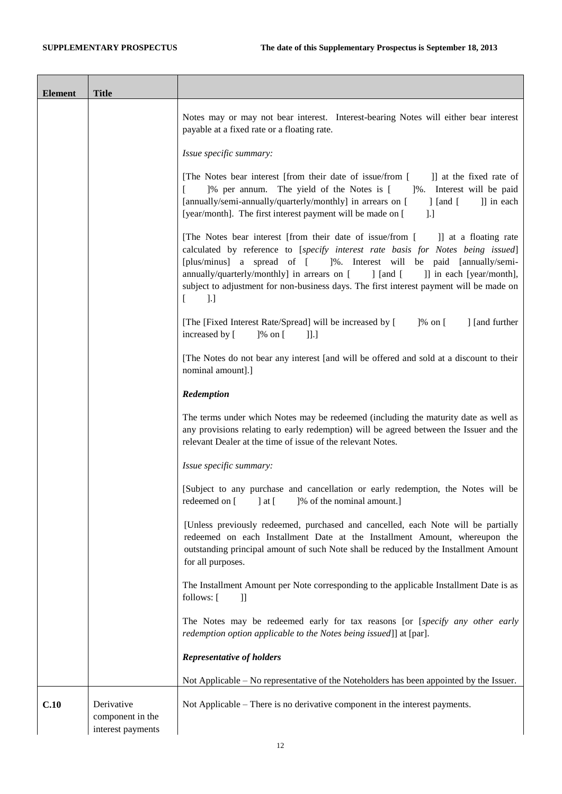| <b>Element</b>                                                                                                                                                                                                                                        | <b>Title</b>                                        |                                                                                                                                                                                                                                                                                                                                        |
|-------------------------------------------------------------------------------------------------------------------------------------------------------------------------------------------------------------------------------------------------------|-----------------------------------------------------|----------------------------------------------------------------------------------------------------------------------------------------------------------------------------------------------------------------------------------------------------------------------------------------------------------------------------------------|
|                                                                                                                                                                                                                                                       |                                                     | Notes may or may not bear interest. Interest-bearing Notes will either bear interest<br>payable at a fixed rate or a floating rate.                                                                                                                                                                                                    |
|                                                                                                                                                                                                                                                       |                                                     | Issue specific summary:                                                                                                                                                                                                                                                                                                                |
|                                                                                                                                                                                                                                                       |                                                     | [The Notes bear interest [from their date of issue/from [<br>]] at the fixed rate of<br>]% per annum. The yield of the Notes is [ ]%. Interest will be paid<br>[annually/semi-annually/quarterly/monthly] in arrears on [<br>]] in each<br>$\int$ [and [<br>[year/month]. The first interest payment will be made on [<br>$\lfloor$ .] |
| [The Notes bear interest [from their date of issue/from [<br>annually/quarterly/monthly] in arrears on [<br>$\int$ [and [<br>$\lbrack$ .]<br>L<br>[The [Fixed Interest Rate/Spread] will be increased by [<br>increased by [<br>$]$ % on [<br>$\prod$ |                                                     | ]] at a floating rate<br>calculated by reference to [specify interest rate basis for Notes being issued]<br>[plus/minus] a spread of [ ]%. Interest will be paid [annually/semi-<br>]] in each [year/month],<br>subject to adjustment for non-business days. The first interest payment will be made on                                |
|                                                                                                                                                                                                                                                       |                                                     | ] [and further<br>]% on [                                                                                                                                                                                                                                                                                                              |
|                                                                                                                                                                                                                                                       |                                                     | [The Notes do not bear any interest [and will be offered and sold at a discount to their<br>nominal amount].]                                                                                                                                                                                                                          |
| Redemption<br>relevant Dealer at the time of issue of the relevant Notes.                                                                                                                                                                             |                                                     |                                                                                                                                                                                                                                                                                                                                        |
|                                                                                                                                                                                                                                                       |                                                     | The terms under which Notes may be redeemed (including the maturity date as well as<br>any provisions relating to early redemption) will be agreed between the Issuer and the                                                                                                                                                          |
|                                                                                                                                                                                                                                                       | Issue specific summary:                             |                                                                                                                                                                                                                                                                                                                                        |
| redeemed on [ ] at [ ]% of the nominal amount.]                                                                                                                                                                                                       |                                                     | [Subject to any purchase and cancellation or early redemption, the Notes will be                                                                                                                                                                                                                                                       |
|                                                                                                                                                                                                                                                       |                                                     | [Unless previously redeemed, purchased and cancelled, each Note will be partially<br>redeemed on each Installment Date at the Installment Amount, whereupon the<br>outstanding principal amount of such Note shall be reduced by the Installment Amount<br>for all purposes.                                                           |
|                                                                                                                                                                                                                                                       |                                                     | The Installment Amount per Note corresponding to the applicable Installment Date is as<br>follows: [<br>$\mathbf{ll}$                                                                                                                                                                                                                  |
|                                                                                                                                                                                                                                                       |                                                     | The Notes may be redeemed early for tax reasons [or [specify any other early<br>redemption option applicable to the Notes being issued]] at [par].                                                                                                                                                                                     |
|                                                                                                                                                                                                                                                       |                                                     | <b>Representative of holders</b>                                                                                                                                                                                                                                                                                                       |
|                                                                                                                                                                                                                                                       |                                                     | Not Applicable - No representative of the Noteholders has been appointed by the Issuer.                                                                                                                                                                                                                                                |
| C.10                                                                                                                                                                                                                                                  | Derivative<br>component in the<br>interest payments | Not Applicable - There is no derivative component in the interest payments.                                                                                                                                                                                                                                                            |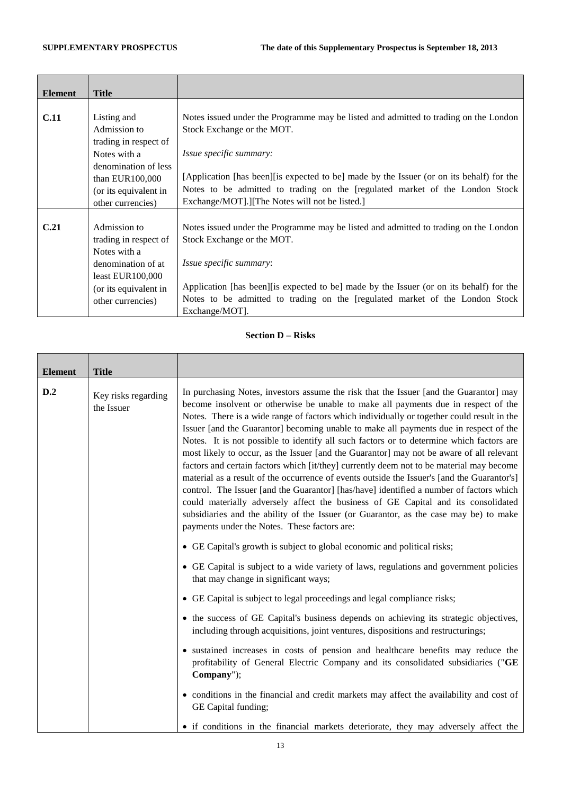| <b>Element</b> | <b>Title</b>          |                                                                                           |
|----------------|-----------------------|-------------------------------------------------------------------------------------------|
|                |                       |                                                                                           |
| <b>C.11</b>    | Listing and           | Notes issued under the Programme may be listed and admitted to trading on the London      |
|                | Admission to          | Stock Exchange or the MOT.                                                                |
|                | trading in respect of |                                                                                           |
|                | Notes with a          | <i>Issue specific summary:</i>                                                            |
|                | denomination of less  |                                                                                           |
|                | than EUR100,000       | [Application [has been] [is expected to be] made by the Issuer (or on its behalf) for the |
|                | (or its equivalent in | Notes to be admitted to trading on the [regulated market of the London Stock              |
|                | other currencies)     | Exchange/MOT].][The Notes will not be listed.]                                            |
|                |                       |                                                                                           |
| C.21           | Admission to          | Notes issued under the Programme may be listed and admitted to trading on the London      |
|                | trading in respect of | Stock Exchange or the MOT.                                                                |
|                | Notes with a          |                                                                                           |
|                | denomination of at    | <i>Issue specific summary:</i>                                                            |
|                | least $EUR100,000$    |                                                                                           |
|                | (or its equivalent in | Application [has been][is expected to be] made by the Issuer (or on its behalf) for the   |
|                | other currencies)     | Notes to be admitted to trading on the [regulated market of the London Stock              |
|                |                       | Exchange/MOT].                                                                            |

## **Section D – Risks**

| <b>Element</b> | <b>Title</b>                      |                                                                                                                                                                                                                                                                                                                                                                                                                                                                                                                                                                                                                                                                                                                                                                                                                                                                                                                                                                                                                                                                                 |
|----------------|-----------------------------------|---------------------------------------------------------------------------------------------------------------------------------------------------------------------------------------------------------------------------------------------------------------------------------------------------------------------------------------------------------------------------------------------------------------------------------------------------------------------------------------------------------------------------------------------------------------------------------------------------------------------------------------------------------------------------------------------------------------------------------------------------------------------------------------------------------------------------------------------------------------------------------------------------------------------------------------------------------------------------------------------------------------------------------------------------------------------------------|
| D.2            | Key risks regarding<br>the Issuer | In purchasing Notes, investors assume the risk that the Issuer [and the Guarantor] may<br>become insolvent or otherwise be unable to make all payments due in respect of the<br>Notes. There is a wide range of factors which individually or together could result in the<br>Issuer [and the Guarantor] becoming unable to make all payments due in respect of the<br>Notes. It is not possible to identify all such factors or to determine which factors are<br>most likely to occur, as the Issuer [and the Guarantor] may not be aware of all relevant<br>factors and certain factors which [it/they] currently deem not to be material may become<br>material as a result of the occurrence of events outside the Issuer's [and the Guarantor's]<br>control. The Issuer [and the Guarantor] [has/have] identified a number of factors which<br>could materially adversely affect the business of GE Capital and its consolidated<br>subsidiaries and the ability of the Issuer (or Guarantor, as the case may be) to make<br>payments under the Notes. These factors are: |
|                |                                   | • GE Capital's growth is subject to global economic and political risks;                                                                                                                                                                                                                                                                                                                                                                                                                                                                                                                                                                                                                                                                                                                                                                                                                                                                                                                                                                                                        |
|                |                                   | • GE Capital is subject to a wide variety of laws, regulations and government policies<br>that may change in significant ways;                                                                                                                                                                                                                                                                                                                                                                                                                                                                                                                                                                                                                                                                                                                                                                                                                                                                                                                                                  |
|                |                                   | • GE Capital is subject to legal proceedings and legal compliance risks;                                                                                                                                                                                                                                                                                                                                                                                                                                                                                                                                                                                                                                                                                                                                                                                                                                                                                                                                                                                                        |
|                |                                   | • the success of GE Capital's business depends on achieving its strategic objectives,<br>including through acquisitions, joint ventures, dispositions and restructurings;                                                                                                                                                                                                                                                                                                                                                                                                                                                                                                                                                                                                                                                                                                                                                                                                                                                                                                       |
|                |                                   | • sustained increases in costs of pension and healthcare benefits may reduce the<br>profitability of General Electric Company and its consolidated subsidiaries ("GE<br>Company");                                                                                                                                                                                                                                                                                                                                                                                                                                                                                                                                                                                                                                                                                                                                                                                                                                                                                              |
|                |                                   | • conditions in the financial and credit markets may affect the availability and cost of<br>GE Capital funding;                                                                                                                                                                                                                                                                                                                                                                                                                                                                                                                                                                                                                                                                                                                                                                                                                                                                                                                                                                 |
|                |                                   | • if conditions in the financial markets deteriorate, they may adversely affect the                                                                                                                                                                                                                                                                                                                                                                                                                                                                                                                                                                                                                                                                                                                                                                                                                                                                                                                                                                                             |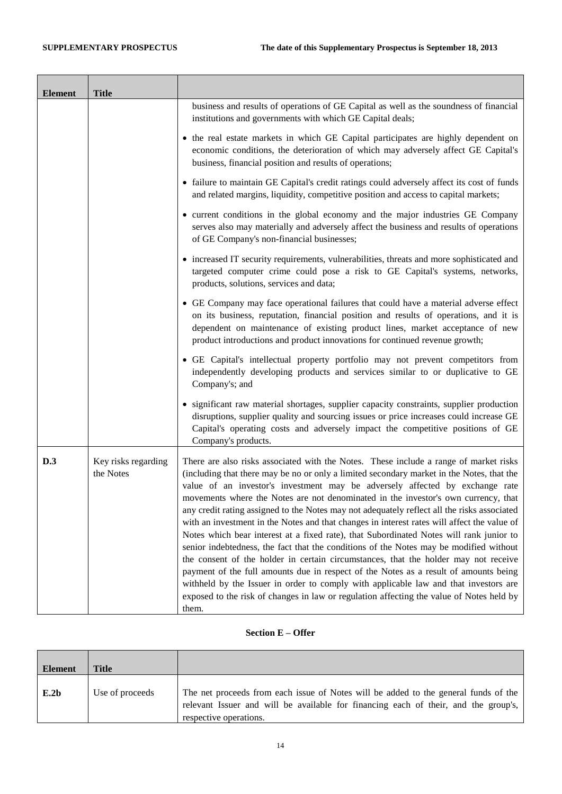| <b>Element</b> | <b>Title</b>                     |                                                                                                                                                                                                                                                                                                                                                                                                                                                                                                                                                                                                                                                                                                                                                                                                                                                                                                                                                                                                                                                                                                                         |
|----------------|----------------------------------|-------------------------------------------------------------------------------------------------------------------------------------------------------------------------------------------------------------------------------------------------------------------------------------------------------------------------------------------------------------------------------------------------------------------------------------------------------------------------------------------------------------------------------------------------------------------------------------------------------------------------------------------------------------------------------------------------------------------------------------------------------------------------------------------------------------------------------------------------------------------------------------------------------------------------------------------------------------------------------------------------------------------------------------------------------------------------------------------------------------------------|
|                |                                  | business and results of operations of GE Capital as well as the soundness of financial<br>institutions and governments with which GE Capital deals;                                                                                                                                                                                                                                                                                                                                                                                                                                                                                                                                                                                                                                                                                                                                                                                                                                                                                                                                                                     |
|                |                                  | • the real estate markets in which GE Capital participates are highly dependent on<br>economic conditions, the deterioration of which may adversely affect GE Capital's<br>business, financial position and results of operations;                                                                                                                                                                                                                                                                                                                                                                                                                                                                                                                                                                                                                                                                                                                                                                                                                                                                                      |
|                |                                  | • failure to maintain GE Capital's credit ratings could adversely affect its cost of funds<br>and related margins, liquidity, competitive position and access to capital markets;                                                                                                                                                                                                                                                                                                                                                                                                                                                                                                                                                                                                                                                                                                                                                                                                                                                                                                                                       |
|                |                                  | • current conditions in the global economy and the major industries GE Company<br>serves also may materially and adversely affect the business and results of operations<br>of GE Company's non-financial businesses;                                                                                                                                                                                                                                                                                                                                                                                                                                                                                                                                                                                                                                                                                                                                                                                                                                                                                                   |
|                |                                  | • increased IT security requirements, vulnerabilities, threats and more sophisticated and<br>targeted computer crime could pose a risk to GE Capital's systems, networks,<br>products, solutions, services and data;                                                                                                                                                                                                                                                                                                                                                                                                                                                                                                                                                                                                                                                                                                                                                                                                                                                                                                    |
|                |                                  | • GE Company may face operational failures that could have a material adverse effect<br>on its business, reputation, financial position and results of operations, and it is<br>dependent on maintenance of existing product lines, market acceptance of new<br>product introductions and product innovations for continued revenue growth;                                                                                                                                                                                                                                                                                                                                                                                                                                                                                                                                                                                                                                                                                                                                                                             |
|                |                                  | • GE Capital's intellectual property portfolio may not prevent competitors from<br>independently developing products and services similar to or duplicative to GE<br>Company's; and                                                                                                                                                                                                                                                                                                                                                                                                                                                                                                                                                                                                                                                                                                                                                                                                                                                                                                                                     |
|                |                                  | • significant raw material shortages, supplier capacity constraints, supplier production<br>disruptions, supplier quality and sourcing issues or price increases could increase GE<br>Capital's operating costs and adversely impact the competitive positions of GE<br>Company's products.                                                                                                                                                                                                                                                                                                                                                                                                                                                                                                                                                                                                                                                                                                                                                                                                                             |
| D.3            | Key risks regarding<br>the Notes | There are also risks associated with the Notes. These include a range of market risks<br>(including that there may be no or only a limited secondary market in the Notes, that the<br>value of an investor's investment may be adversely affected by exchange rate<br>movements where the Notes are not denominated in the investor's own currency, that<br>any credit rating assigned to the Notes may not adequately reflect all the risks associated<br>with an investment in the Notes and that changes in interest rates will affect the value of<br>Notes which bear interest at a fixed rate), that Subordinated Notes will rank junior to<br>senior indebtedness, the fact that the conditions of the Notes may be modified without<br>the consent of the holder in certain circumstances, that the holder may not receive<br>payment of the full amounts due in respect of the Notes as a result of amounts being<br>withheld by the Issuer in order to comply with applicable law and that investors are<br>exposed to the risk of changes in law or regulation affecting the value of Notes held by<br>them. |

#### **Section E – Offer**

| <b>Element</b> | Title           |                                                                                                                                                                                                      |
|----------------|-----------------|------------------------------------------------------------------------------------------------------------------------------------------------------------------------------------------------------|
| E.2b           | Use of proceeds | The net proceeds from each issue of Notes will be added to the general funds of the<br>relevant Issuer and will be available for financing each of their, and the group's,<br>respective operations. |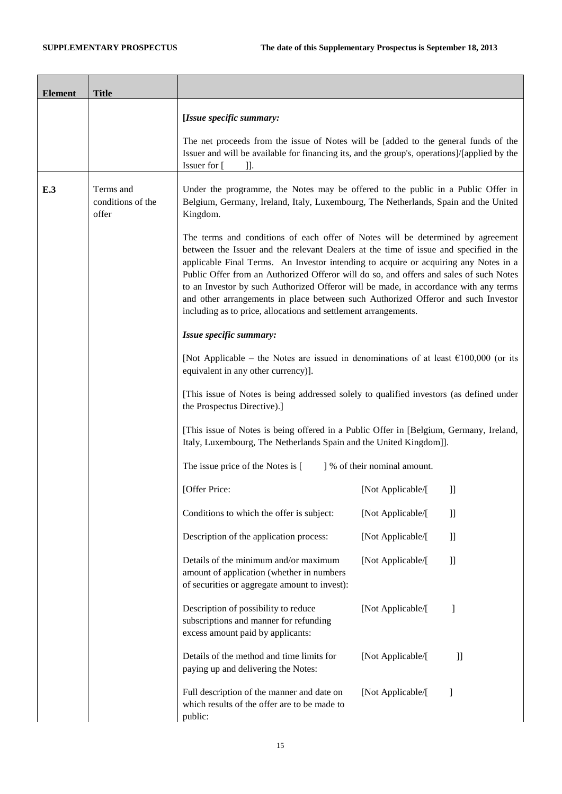ř.

| <b>Element</b> | <b>Title</b>                            |                                                                                                                                                                                                                                                                                                                                                                                                                                                                                                                                                                                                            |                              |               |
|----------------|-----------------------------------------|------------------------------------------------------------------------------------------------------------------------------------------------------------------------------------------------------------------------------------------------------------------------------------------------------------------------------------------------------------------------------------------------------------------------------------------------------------------------------------------------------------------------------------------------------------------------------------------------------------|------------------------------|---------------|
|                |                                         | [Issue specific summary:                                                                                                                                                                                                                                                                                                                                                                                                                                                                                                                                                                                   |                              |               |
|                |                                         | The net proceeds from the issue of Notes will be [added to the general funds of the<br>Issuer and will be available for financing its, and the group's, operations]/[applied by the<br>Issuer for [<br>$\mathbf{L}$                                                                                                                                                                                                                                                                                                                                                                                        |                              |               |
| E.3            | Terms and<br>conditions of the<br>offer | Under the programme, the Notes may be offered to the public in a Public Offer in<br>Belgium, Germany, Ireland, Italy, Luxembourg, The Netherlands, Spain and the United<br>Kingdom.                                                                                                                                                                                                                                                                                                                                                                                                                        |                              |               |
|                |                                         | The terms and conditions of each offer of Notes will be determined by agreement<br>between the Issuer and the relevant Dealers at the time of issue and specified in the<br>applicable Final Terms. An Investor intending to acquire or acquiring any Notes in a<br>Public Offer from an Authorized Offeror will do so, and offers and sales of such Notes<br>to an Investor by such Authorized Offeror will be made, in accordance with any terms<br>and other arrangements in place between such Authorized Offeror and such Investor<br>including as to price, allocations and settlement arrangements. |                              |               |
|                |                                         | Issue specific summary:                                                                                                                                                                                                                                                                                                                                                                                                                                                                                                                                                                                    |                              |               |
|                |                                         | [Not Applicable – the Notes are issued in denominations of at least $\epsilon$ 100,000 (or its<br>equivalent in any other currency)].                                                                                                                                                                                                                                                                                                                                                                                                                                                                      |                              |               |
|                |                                         | [This issue of Notes is being addressed solely to qualified investors (as defined under<br>the Prospectus Directive).]                                                                                                                                                                                                                                                                                                                                                                                                                                                                                     |                              |               |
|                |                                         | [This issue of Notes is being offered in a Public Offer in [Belgium, Germany, Ireland,<br>Italy, Luxembourg, The Netherlands Spain and the United Kingdom]].                                                                                                                                                                                                                                                                                                                                                                                                                                               |                              |               |
|                |                                         | The issue price of the Notes is [                                                                                                                                                                                                                                                                                                                                                                                                                                                                                                                                                                          | ] % of their nominal amount. |               |
|                |                                         | [Offer Price:                                                                                                                                                                                                                                                                                                                                                                                                                                                                                                                                                                                              | [Not Applicable/[            | $\mathbf{ll}$ |
|                |                                         | Conditions to which the offer is subject:                                                                                                                                                                                                                                                                                                                                                                                                                                                                                                                                                                  | [Not Applicable/[            | $\mathbf{ll}$ |
|                |                                         | Description of the application process:                                                                                                                                                                                                                                                                                                                                                                                                                                                                                                                                                                    | [Not Applicable/[            | $\mathbf{ll}$ |
|                |                                         | Details of the minimum and/or maximum<br>amount of application (whether in numbers<br>of securities or aggregate amount to invest):                                                                                                                                                                                                                                                                                                                                                                                                                                                                        | [Not Applicable/[            | $\mathbf{I}$  |
|                |                                         | Description of possibility to reduce<br>subscriptions and manner for refunding<br>excess amount paid by applicants:                                                                                                                                                                                                                                                                                                                                                                                                                                                                                        | [Not Applicable/[            | -1            |
|                |                                         | Details of the method and time limits for<br>paying up and delivering the Notes:                                                                                                                                                                                                                                                                                                                                                                                                                                                                                                                           | [Not Applicable/[            | $_{\rm ll}$   |
|                |                                         | Full description of the manner and date on<br>which results of the offer are to be made to<br>public:                                                                                                                                                                                                                                                                                                                                                                                                                                                                                                      | [Not Applicable/[            | 1             |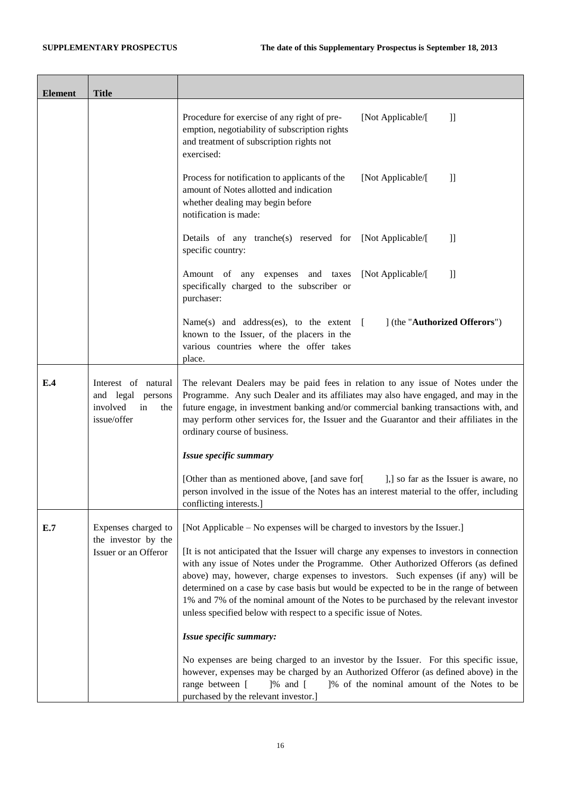| <b>Element</b> | <b>Title</b>                                                                        |                                                                                                                                                                                                                                                                                                                                                                                                                                                                                                                               |  |
|----------------|-------------------------------------------------------------------------------------|-------------------------------------------------------------------------------------------------------------------------------------------------------------------------------------------------------------------------------------------------------------------------------------------------------------------------------------------------------------------------------------------------------------------------------------------------------------------------------------------------------------------------------|--|
|                |                                                                                     | Procedure for exercise of any right of pre-<br>[Not Applicable/[<br>$\mathbf{I}$<br>emption, negotiability of subscription rights<br>and treatment of subscription rights not<br>exercised:                                                                                                                                                                                                                                                                                                                                   |  |
|                |                                                                                     | Process for notification to applicants of the<br>[Not Applicable/[<br>$\mathbf{ll}$<br>amount of Notes allotted and indication<br>whether dealing may begin before<br>notification is made:                                                                                                                                                                                                                                                                                                                                   |  |
|                |                                                                                     | Details of any tranche(s) reserved for [Not Applicable/[<br>$\mathbf{I}$<br>specific country:                                                                                                                                                                                                                                                                                                                                                                                                                                 |  |
|                |                                                                                     | Amount of any expenses and taxes<br>[Not Applicable/[<br>$\mathbf{ll}$<br>specifically charged to the subscriber or<br>purchaser:                                                                                                                                                                                                                                                                                                                                                                                             |  |
|                |                                                                                     | Name(s) and address(es), to the extent $\left[ \right]$<br>] (the "Authorized Offerors")<br>known to the Issuer, of the placers in the<br>various countries where the offer takes<br>place.                                                                                                                                                                                                                                                                                                                                   |  |
| E.4            | Interest of natural<br>and legal<br>persons<br>involved<br>in<br>the<br>issue/offer | The relevant Dealers may be paid fees in relation to any issue of Notes under the<br>Programme. Any such Dealer and its affiliates may also have engaged, and may in the<br>future engage, in investment banking and/or commercial banking transactions with, and<br>may perform other services for, the Issuer and the Guarantor and their affiliates in the<br>ordinary course of business.                                                                                                                                 |  |
|                |                                                                                     | Issue specific summary                                                                                                                                                                                                                                                                                                                                                                                                                                                                                                        |  |
|                |                                                                                     | [Other than as mentioned above, [and save for]<br>],] so far as the Issuer is aware, no<br>person involved in the issue of the Notes has an interest material to the offer, including<br>conflicting interests.]                                                                                                                                                                                                                                                                                                              |  |
| E.7            | Expenses charged to<br>the investor by the<br>Issuer or an Offeror                  | [Not Applicable – No expenses will be charged to investors by the Issuer.]                                                                                                                                                                                                                                                                                                                                                                                                                                                    |  |
|                |                                                                                     | [It is not anticipated that the Issuer will charge any expenses to investors in connection<br>with any issue of Notes under the Programme. Other Authorized Offerors (as defined<br>above) may, however, charge expenses to investors. Such expenses (if any) will be<br>determined on a case by case basis but would be expected to be in the range of between<br>1% and 7% of the nominal amount of the Notes to be purchased by the relevant investor<br>unless specified below with respect to a specific issue of Notes. |  |
|                |                                                                                     | Issue specific summary:                                                                                                                                                                                                                                                                                                                                                                                                                                                                                                       |  |
|                |                                                                                     | No expenses are being charged to an investor by the Issuer. For this specific issue,<br>however, expenses may be charged by an Authorized Offeror (as defined above) in the<br>range between [<br>$]$ % and $[$<br>]% of the nominal amount of the Notes to be<br>purchased by the relevant investor.]                                                                                                                                                                                                                        |  |